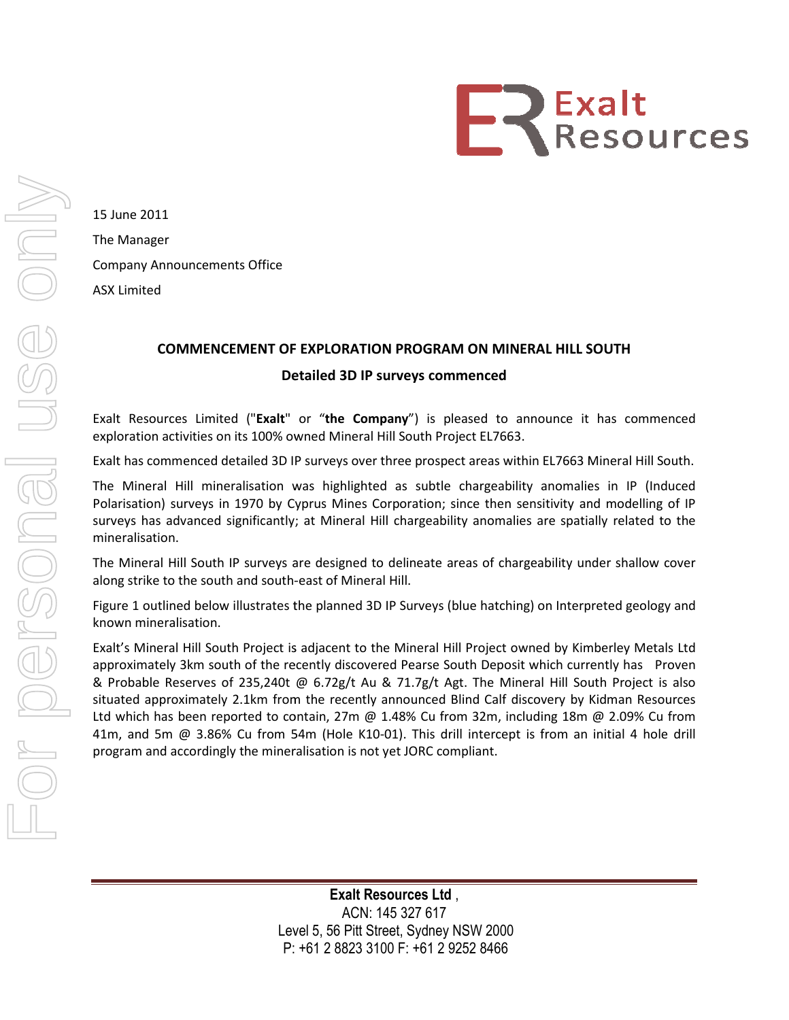

15 June 2011 The Manager Company Announcements Office ASX Limited

## COMMENCEMENT OF EXPLORATION PROGRAM ON MINERAL HILL SOUTH

## Detailed 3D IP surveys commenced

Exalt Resources Limited ("Exalt" or "the Company") is pleased to announce it has commenced exploration activities on its 100% owned Mineral Hill South Project EL7663. Mineral Hill South EL7663.

Exalt has commenced detailed 3D IP surveys over three prospect areas within EL7663 Mineral Hill South.

Exalt has commenced detailed 3D IP surveys over three prospect areas within EL7663 Mineral Hill South.<br>The Mineral Hill mineralisation was highlighted as subtle chargeability anomalies in IP (Induced Polarisation) surveys in 1970 by Cyprus Mines Corporation; since then sensitivity and modelling of IP surveys has advanced significantly; at Mineral Hill chargeability anomalies are spatially related to the mineralisation.

The Mineral Hill South IP surveys are designed to delineate areas of chargeability under shallow cover The Mineral Hill South IP surveys are designed to delir<br>along strike to the south and south-east of Mineral Hill.

Figure 1 outlined below illustrates the planned 3D IP Surveys (blue hatching) on Interpreted geology and known mineralisation.

Exalt's Mineral Hill South Project is adjacent to the Mineral Hill Project owned by Kimberley Metals Ltd approximately 3km south of the recently discovered Pearse South Deposi Deposit which currently has Proven & Probable Reserves of 235,240t @ 6.72g/t Au & 71.7g/t Agt. The Mineral Hill South Project is also situated approximately 2.1km from the recently announced Blind Calf discovery by Kidman Resources Ltd which has been reported to contain, 27m @ 1.48% Cu from 32m, including 18m @ 2.09% Cu from 41m, and 5m @ 3.86% Cu from 54m (Hole K10-01). This drill intercept is from an initial 4 hole drill program and accordingly the mineralisation is not yet JORC compliant. **etailed 3D IP surveys commenced**<br>
or "the **Company**") is pleased to announce it<br>
womed Mineral Hill South Project EL7663.<br>
IP surveys over three prospect areas within EL7663<br>
Was highlighted as subtle chargeability anoma

Level 5, 56 Pitt Street, Sydney NSW 2000 2000 P: +61 2 8823 3100 F: +61 2 9252 8466 Exalt Resources Ltd , ACN: 145 327 617